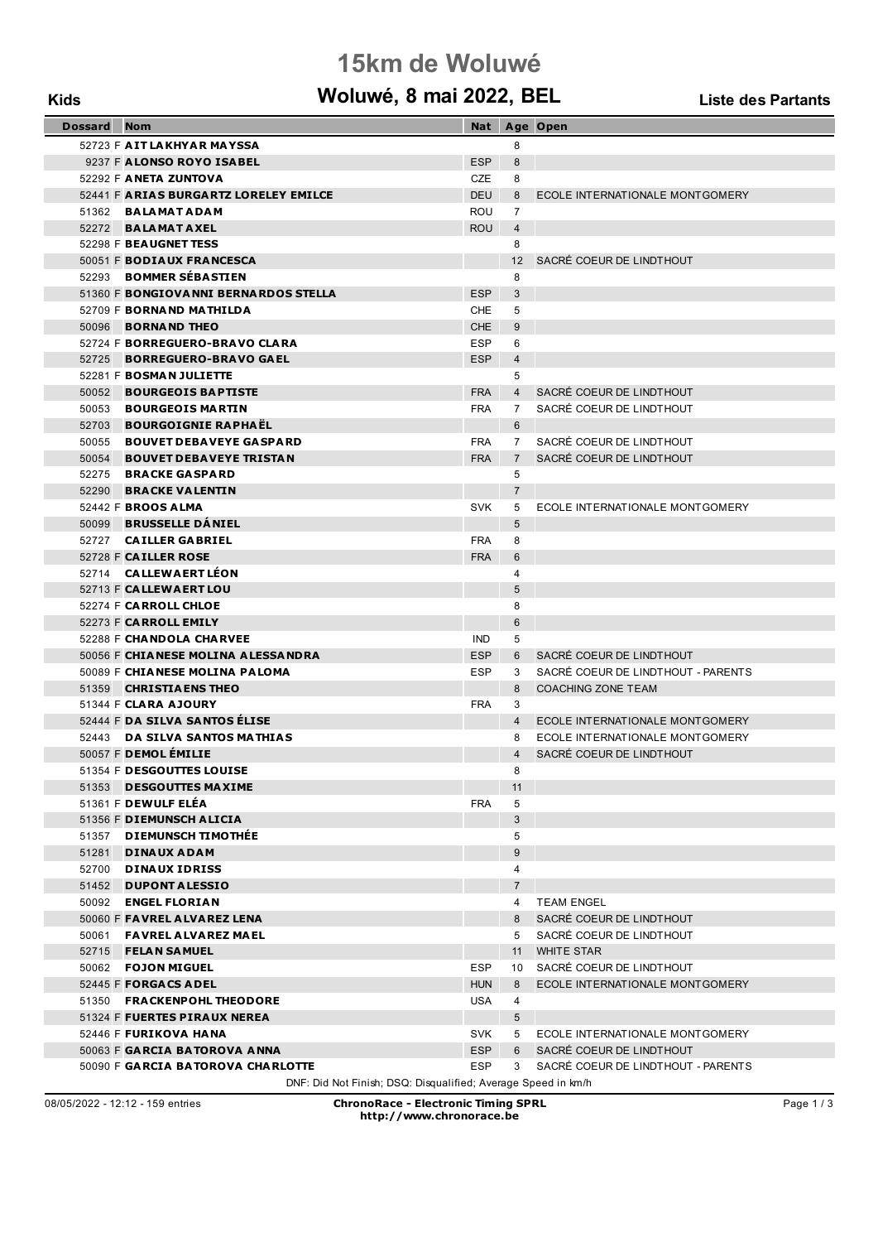### **15km de Woluwé**

# **Kids Woluwé, 8 mai 2022, BEL Liste des Partants**

| Dossard | <b>Nom</b>                                                    |            |                 | Nat Age Open                         |  |  |
|---------|---------------------------------------------------------------|------------|-----------------|--------------------------------------|--|--|
|         | 52723 F AIT LAKHYAR MAYSSA                                    |            | 8               |                                      |  |  |
|         | 9237 F ALONSO ROYO ISABEL                                     | <b>ESP</b> | 8               |                                      |  |  |
|         | 52292 F ANETA ZUNTOVA                                         | CZE        | 8               |                                      |  |  |
|         | 52441 F ARIAS BURGARTZ LORELEY EMILCE                         | <b>DEU</b> | 8               | ECOLE INTERNATIONALE MONTGOMERY      |  |  |
|         | 51362 BALAMATADAM                                             | <b>ROU</b> | $\overline{7}$  |                                      |  |  |
|         | 52272 BALAMATAXEL                                             | <b>ROU</b> | $\overline{4}$  |                                      |  |  |
|         | 52298 F BEAUGNET TESS                                         |            | 8               |                                      |  |  |
|         | 50051 F BODIAUX FRANCESCA                                     |            | 12 <sup>2</sup> | SACRÉ COEUR DE LINDTHOUT             |  |  |
|         | 52293 BOMMER SÉBASTIEN                                        |            | 8               |                                      |  |  |
|         | 51360 F BONGIOVANNI BERNARDOS STELLA                          | ESP        | 3               |                                      |  |  |
|         | 52709 F BORNAND MATHILDA                                      | CHE        | 5               |                                      |  |  |
|         | 50096 <b>BORNAND THEO</b>                                     | CHE        | 9               |                                      |  |  |
|         | 52724 F BORREGUERO-BRAVO CLARA                                | ESP        | 6               |                                      |  |  |
|         | 52725 BORREGUERO-BRAVO GAEL                                   | <b>ESP</b> | $\overline{4}$  |                                      |  |  |
|         | 52281 F BOSMAN JULIETTE                                       |            | 5               |                                      |  |  |
|         | 50052 BOURGEOIS BAPTISTE                                      | <b>FRA</b> | $4\overline{ }$ | SACRÉ COEUR DE LINDTHOUT             |  |  |
|         | 50053 BOURGEOIS MARTIN                                        | <b>FRA</b> | 7               | SACRÉ COEUR DE LINDTHOUT             |  |  |
| 52703   | <b>BOURGOIGNIE RAPHAEL</b>                                    |            | 6               |                                      |  |  |
| 50055   | <b>BOUVET DEBAVEYE GASPARD</b>                                | <b>FRA</b> | $7^{\circ}$     | SACRÉ COEUR DE LINDTHOUT             |  |  |
| 50054   | <b>BOUVET DEBAVEYE TRISTAN</b>                                | <b>FRA</b> | $7^{\circ}$     | SACRÉ COEUR DE LINDTHOUT             |  |  |
|         | 52275 BRACKE GASPARD                                          |            | 5               |                                      |  |  |
|         | 52290 BRACKE VALENTIN                                         |            | $\overline{7}$  |                                      |  |  |
|         | 52442 F <b>BROOS ALMA</b>                                     | <b>SVK</b> | 5               | ECOLE INTERNATIONALE MONTGOMERY      |  |  |
|         | 50099 BRUSSELLE DANIEL                                        |            | 5               |                                      |  |  |
|         | 52727 CAILLER GABRIEL                                         | <b>FRA</b> | 8               |                                      |  |  |
|         | 52728 F CAILLER ROSE                                          | <b>FRA</b> | 6               |                                      |  |  |
|         | 52714 <b>CALLEWAERT LEON</b>                                  |            | 4               |                                      |  |  |
|         | 52713 F CALLEWAERT LOU                                        |            | 5               |                                      |  |  |
|         | 52274 F CARROLL CHLOE                                         |            | 8               |                                      |  |  |
|         | 52273 F CARROLL EMILY                                         |            | 6               |                                      |  |  |
|         | 52288 F CHANDOLA CHARVEE                                      | <b>IND</b> | 5               |                                      |  |  |
|         | 50056 F CHIANESE MOLINA ALESSANDRA                            | <b>ESP</b> | 6               | SACRÉ COEUR DE LINDTHOUT             |  |  |
|         | 50089 F CHIANESE MOLINA PALOMA                                | <b>ESP</b> | 3               | SACRÉ COEUR DE LINDTHOUT - PARENTS   |  |  |
|         | 51359 <b>CHRISTIA ENS THEO</b>                                |            | 8               | <b>COACHING ZONE TEAM</b>            |  |  |
|         | 51344 F CLARA AJOURY                                          | <b>FRA</b> | 3               |                                      |  |  |
|         | 52444 F DA SILVA SANTOS ELISE                                 |            | $4 \quad$       | ECOLE INTERNATIONALE MONTGOMERY      |  |  |
|         | 52443 DA SILVA SANTOS MATHIAS                                 |            | 8               | ECOLE INTERNATIONALE MONTGOMERY      |  |  |
|         | 50057 F <b>DEMOL EMILIE</b>                                   |            | 4               | SACRÉ COEUR DE LINDTHOUT             |  |  |
|         | 51354 F DESGOUTTES LOUISE                                     |            | 8               |                                      |  |  |
| 51353   | <b>DESGOUTTES MAXIME</b><br>51361 F <b>DEWULF ELÉA</b>        | <b>FRA</b> | 11<br>5         |                                      |  |  |
|         | 51356 F DIEMUNSCH ALICIA                                      |            | 3               |                                      |  |  |
|         | 51357 DIEMUNSCH TIMOTHÉE                                      |            | 5               |                                      |  |  |
| 51281   | <b>DINAUX ADAM</b>                                            |            | $9\,$           |                                      |  |  |
| 52700   | <b>DINAUX IDRISS</b>                                          |            | 4               |                                      |  |  |
| 51452   | <b>DUPONT ALESSIO</b>                                         |            | $\overline{7}$  |                                      |  |  |
| 50092   | <b>ENGEL FLORIAN</b>                                          |            | 4               | <b>TEAM ENGEL</b>                    |  |  |
|         | 50060 F FAVREL ALVAREZ LENA                                   |            |                 | 8 SACRÉ COEUR DE LINDTHOUT           |  |  |
| 50061   | <b>FAVREL ALVAREZ MAEL</b>                                    |            |                 | 5 SACRÉ COEUR DE LINDTHOUT           |  |  |
|         | 52715 FELAN SAMUEL                                            |            |                 | 11 WHITE STAR                        |  |  |
|         | 50062 <b>FOJON MIGUEL</b>                                     | <b>ESP</b> |                 | 10 SACRÉ COEUR DE LINDTHOUT          |  |  |
|         | 52445 F FORGACS ADEL                                          | <b>HUN</b> | 8               | ECOLE INTERNATIONALE MONTGOMERY      |  |  |
|         | 51350 FRACKENPOHL THEODORE                                    | <b>USA</b> | 4               |                                      |  |  |
|         | 51324 F FUERTES PIRAUX NEREA                                  |            | $5\overline{)}$ |                                      |  |  |
|         | 52446 F FURIKOVA HANA                                         | SVK        | 5               | ECOLE INTERNATIONALE MONTGOMERY      |  |  |
|         | 50063 F GARCIA BATOROVA ANNA                                  | <b>ESP</b> |                 | 6 SACRÉ COEUR DE LINDTHOUT           |  |  |
|         | 50090 F GARCIA BATOROVA CHARLOTTE                             | <b>ESP</b> |                 | 3 SACRÉ COEUR DE LINDTHOUT - PARENTS |  |  |
|         | DNF: Did Not Finish; DSQ: Disqualified; Average Speed in km/h |            |                 |                                      |  |  |

08/05/2022 - 12:12 - 159 entries **ChronoRace - Electronic Timing SPRL http://www.chronorace.be**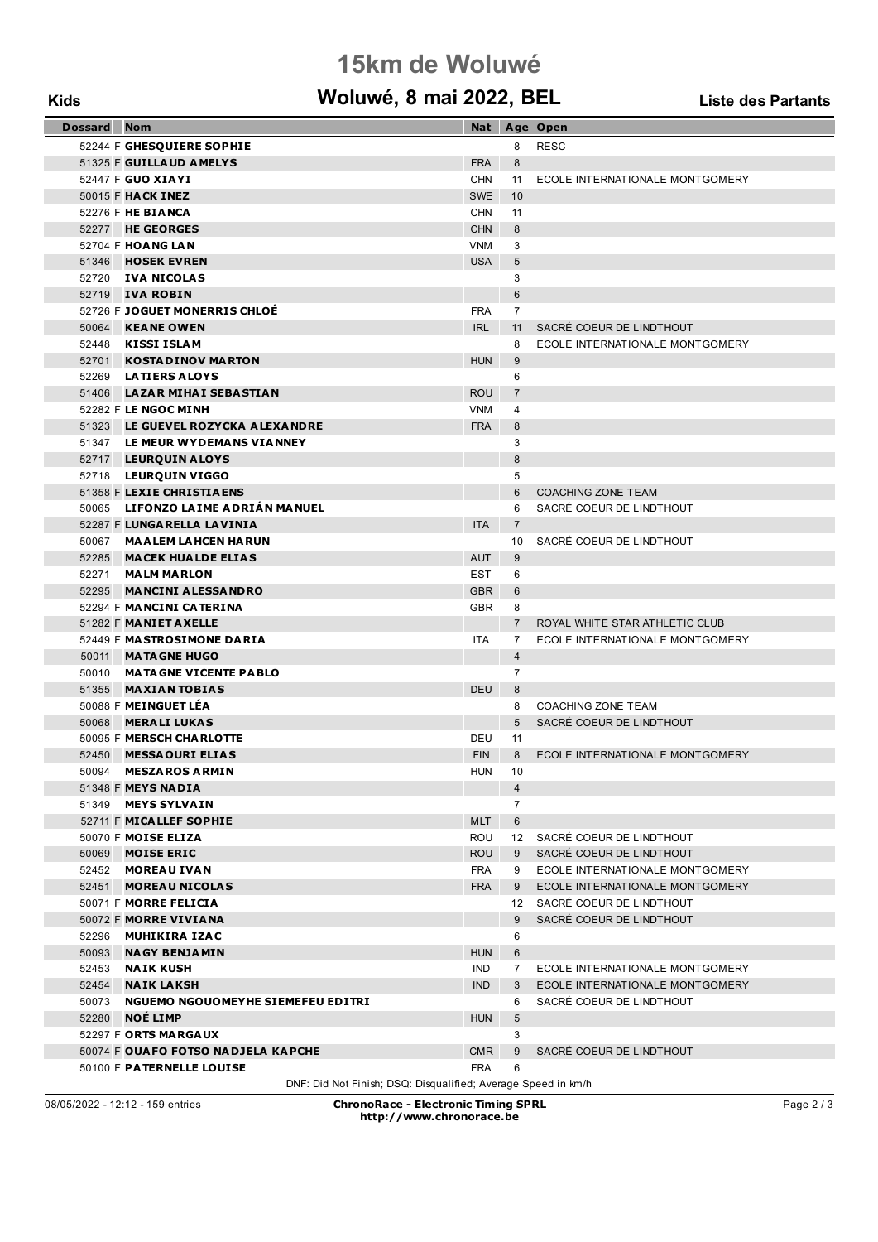# **15km de Woluwé**

### **Kids Woluwé, 8 mai 2022, BEL Liste des Partants**

| <b>Dossard</b> | <b>Nom</b>                         | Nat        |                 | Age Open                        |
|----------------|------------------------------------|------------|-----------------|---------------------------------|
|                | 52244 F GHESQUIERE SOPHIE          |            | 8               | <b>RESC</b>                     |
|                | 51325 F GUILLAUD AMELYS            | <b>FRA</b> | 8               |                                 |
|                | 52447 F <b>GUO XIAYI</b>           | <b>CHN</b> | 11              | ECOLE INTERNATIONALE MONTGOMERY |
|                | 50015 F HACK INEZ                  | <b>SWE</b> | 10              |                                 |
|                | 52276 F HE BIANCA                  | <b>CHN</b> | 11              |                                 |
|                | 52277 <b>HE GEORGES</b>            | <b>CHN</b> | 8               |                                 |
|                | 52704 F HOANG LAN                  | <b>VNM</b> | 3               |                                 |
|                | 51346 <b>HOSEK EVREN</b>           | <b>USA</b> | 5               |                                 |
|                | 52720 IVA NICOLAS                  |            | 3               |                                 |
|                | 52719 <b>IVA ROBIN</b>             |            | 6               |                                 |
|                | 52726 F JOGUET MONERRIS CHLOE      | <b>FRA</b> | 7               |                                 |
| 50064          | <b>KEANE OWEN</b>                  | <b>IRL</b> | 11              | SACRÉ COEUR DE LINDTHOUT        |
|                | 52448 KISSI ISLAM                  |            | 8               | ECOLE INTERNATIONALE MONTGOMERY |
| 52701          | <b>KOSTADINOV MARTON</b>           | <b>HUN</b> | 9               |                                 |
| 52269          | <b>LATIERS ALOYS</b>               |            | 6               |                                 |
| 51406          | <b>LAZAR MIHAI SEBASTIAN</b>       | <b>ROU</b> | $\overline{7}$  |                                 |
|                | 52282 F LE NGOC MINH               | VNM        | 4               |                                 |
|                | 51323 LE GUEVEL ROZYCKA ALEXANDRE  | <b>FRA</b> | 8               |                                 |
|                | 51347 LE MEUR WYDEMANS VIANNEY     |            | 3               |                                 |
|                | 52717 LEURQUIN ALOYS               |            | 8               |                                 |
|                | 52718 LEURQUIN VIGGO               |            | 5               |                                 |
|                | 51358 F LEXIE CHRISTIAENS          |            | 6               | <b>COACHING ZONE TEAM</b>       |
|                | 50065 LIFONZO LAIME ADRIÁN MANUEL  |            | 6               | SACRÉ COEUR DE LINDTHOUT        |
|                | 52287 F LUNGARELLA LAVINIA         | <b>ITA</b> | $\overline{7}$  |                                 |
|                | 50067 MAALEM LAHCEN HARUN          |            | 10              | SACRÉ COEUR DE LINDTHOUT        |
|                | 52285 MACEK HUALDE ELIAS           | <b>AUT</b> | 9               |                                 |
|                | 52271 MALM MARLON                  | <b>EST</b> | 6               |                                 |
| 52295          | <b>MANCINI ALESSANDRO</b>          | <b>GBR</b> | 6               |                                 |
|                | 52294 F MANCINI CATERINA           | <b>GBR</b> | 8               |                                 |
|                | 51282 F MANIET AXELLE              |            | $\overline{7}$  | ROYAL WHITE STAR ATHLETIC CLUB  |
|                | 52449 F MASTROSIMONE DARIA         | <b>ITA</b> | $\overline{7}$  | ECOLE INTERNATIONALE MONTGOMERY |
|                | 50011 <b>MATAGNE HUGO</b>          |            | $\overline{4}$  |                                 |
|                | 50010 MATAGNE VICENTE PABLO        |            | $\overline{7}$  |                                 |
| 51355          | <b>MAXIAN TOBIAS</b>               | <b>DEU</b> | 8               |                                 |
|                | 50088 F MEINGUET LÉA               |            | 8               | <b>COACHING ZONE TEAM</b>       |
| 50068          | <b>MERALI LUKAS</b>                |            | 5               | SACRÉ COEUR DE LINDTHOUT        |
|                | 50095 F MERSCH CHARLOTTE           | DEU        | 11              |                                 |
| 52450          | <b>MESSAOURI ELIAS</b>             | <b>FIN</b> | 8               | ECOLE INTERNATIONALE MONTGOMERY |
| 50094          | <b>MESZAROS ARMIN</b>              | <b>HUN</b> | 10              |                                 |
|                | 51348 F MEYS NADIA                 |            | $\overline{4}$  |                                 |
|                | 51349 MEYS SYLVAIN                 |            | $\overline{7}$  |                                 |
|                | 52711 F MICALLEF SOPHIE            | <b>MLT</b> | 6               |                                 |
|                | 50070 F MOISE ELIZA                | ROU        |                 | 12 SACRÉ COEUR DE LINDTHOUT     |
| 50069          | <b>MOISE ERIC</b>                  | <b>ROU</b> |                 | 9 SACRÉ COEUR DE LINDTHOUT      |
| 52452          | <b>MOREAU IVAN</b>                 | FRA        | 9               | ECOLE INTERNATIONALE MONTGOMERY |
| 52451          | <b>MOREAU NICOLAS</b>              | <b>FRA</b> | 9               | ECOLE INTERNATIONALE MONTGOMERY |
|                | 50071 F MORRE FELICIA              |            |                 | 12 SACRÉ COEUR DE LINDTHOUT     |
|                | 50072 F MORRE VIVIANA              |            | 9               | SACRÉ COEUR DE LINDTHOUT        |
| 52296          | <b>MUHIKIRA IZAC</b>               |            | 6               |                                 |
| 50093          | <b>NAGY BENJAMIN</b>               | <b>HUN</b> | 6               |                                 |
| 52453          | <b>NAIK KUSH</b>                   | IND        | 7               | ECOLE INTERNATIONALE MONTGOMERY |
| 52454          | <b>NAIK LAKSH</b>                  | <b>IND</b> | 3               | ECOLE INTERNATIONALE MONTGOMERY |
| 50073          | NGUEMO NGOUOMEYHE SIEMEFEU EDITRI  |            | 6               | SACRÉ COEUR DE LINDTHOUT        |
| 52280          | <b>NOE LIMP</b>                    | <b>HUN</b> | $5\overline{)}$ |                                 |
|                | 52297 F ORTS MARGAUX               |            | 3               |                                 |
|                | 50074 F OUAFO FOTSO NADJELA KAPCHE | <b>CMR</b> | 9               | SACRÉ COEUR DE LINDTHOUT        |
|                | 50100 F PATERNELLE LOUISE          | <b>FRA</b> | 6               |                                 |

DNF: Did Not Finish; DSQ: Disqualified; Average Speed in km/h

08/05/2022 - 12:12 - 159 entries **ChronoRace - Electronic Timing SPRL http://www.chronorace.be**

Page 2 / 3